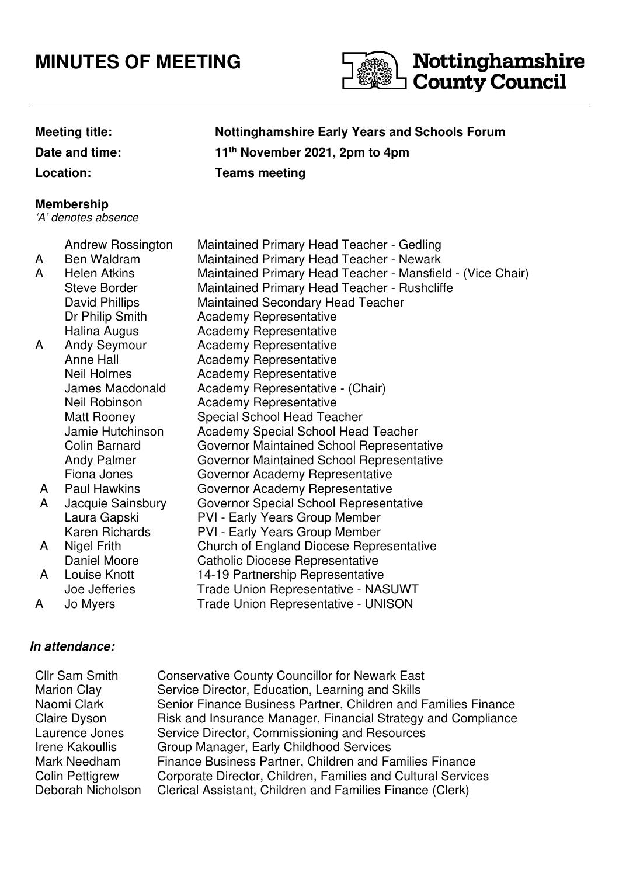## **MINUTES OF MEETING**



# **Nottinghamshire**<br>I County Council

**Date and time:** 

### **Meeting title: Nottinghamshire Early Years and Schools Forum th November 2021, 2pm to 4pm Location: Teams meeting**

#### **Membership**

'A' denotes absence

Andrew Rossington Maintained Primary Head Teacher - Gedling

|   | <b>ATIGLEW NUSSITIQIUIT</b> | Maintaineu Frintaily Heau Teacher - Geuing                 |
|---|-----------------------------|------------------------------------------------------------|
| A | Ben Waldram                 | <b>Maintained Primary Head Teacher - Newark</b>            |
| A | <b>Helen Atkins</b>         | Maintained Primary Head Teacher - Mansfield - (Vice Chair) |
|   | <b>Steve Border</b>         | <b>Maintained Primary Head Teacher - Rushcliffe</b>        |
|   | David Phillips              | <b>Maintained Secondary Head Teacher</b>                   |
|   | Dr Philip Smith             | <b>Academy Representative</b>                              |
|   | Halina Augus                | <b>Academy Representative</b>                              |
| A | <b>Andy Seymour</b>         | <b>Academy Representative</b>                              |
|   | Anne Hall                   | <b>Academy Representative</b>                              |
|   | Neil Holmes                 | <b>Academy Representative</b>                              |
|   | James Macdonald             | Academy Representative - (Chair)                           |
|   | Neil Robinson               | <b>Academy Representative</b>                              |
|   | Matt Rooney                 | Special School Head Teacher                                |
|   | Jamie Hutchinson            | Academy Special School Head Teacher                        |
|   | <b>Colin Barnard</b>        | Governor Maintained School Representative                  |
|   | <b>Andy Palmer</b>          | Governor Maintained School Representative                  |
|   | Fiona Jones                 | Governor Academy Representative                            |
| A | <b>Paul Hawkins</b>         | Governor Academy Representative                            |
| A | Jacquie Sainsbury           | Governor Special School Representative                     |
|   | Laura Gapski                | <b>PVI - Early Years Group Member</b>                      |
|   | Karen Richards              | <b>PVI - Early Years Group Member</b>                      |
| A | Nigel Frith                 | Church of England Diocese Representative                   |
|   | Daniel Moore                | <b>Catholic Diocese Representative</b>                     |
| A | Louise Knott                | 14-19 Partnership Representative                           |
|   | Joe Jefferies               | <b>Trade Union Representative - NASUWT</b>                 |
| A | Jo Myers                    | <b>Trade Union Representative - UNISON</b>                 |

#### **In attendance:**

| <b>Cllr Sam Smith</b>  | <b>Conservative County Councillor for Newark East</b>          |
|------------------------|----------------------------------------------------------------|
| <b>Marion Clay</b>     | Service Director, Education, Learning and Skills               |
| Naomi Clark            | Senior Finance Business Partner, Children and Families Finance |
| Claire Dyson           | Risk and Insurance Manager, Financial Strategy and Compliance  |
| Laurence Jones         | Service Director, Commissioning and Resources                  |
| Irene Kakoullis        | Group Manager, Early Childhood Services                        |
| Mark Needham           | Finance Business Partner, Children and Families Finance        |
| <b>Colin Pettigrew</b> | Corporate Director, Children, Families and Cultural Services   |
| Deborah Nicholson      | Clerical Assistant, Children and Families Finance (Clerk)      |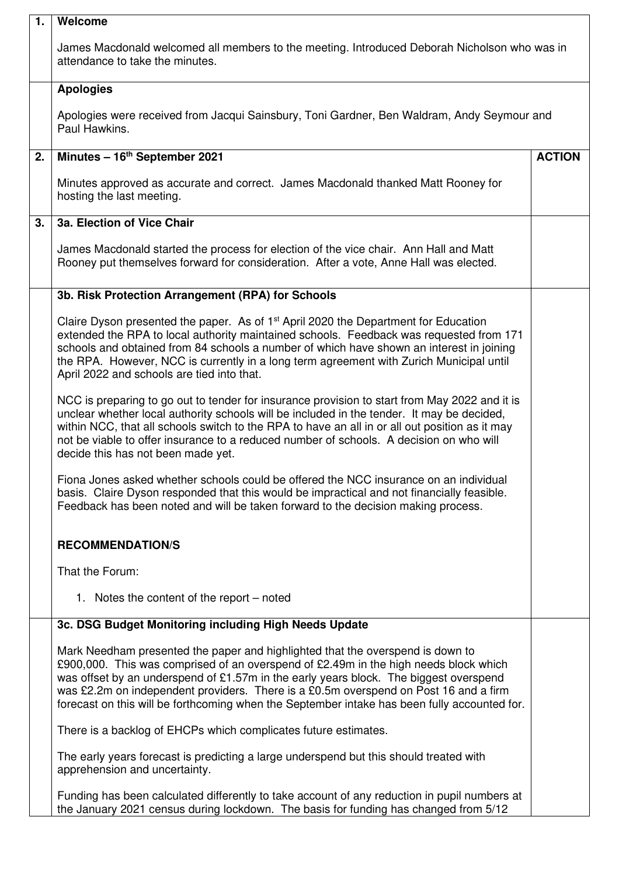| 1. | Welcome                                                                                                                                                                                                                                                                                                                                                                                                                                                 |               |
|----|---------------------------------------------------------------------------------------------------------------------------------------------------------------------------------------------------------------------------------------------------------------------------------------------------------------------------------------------------------------------------------------------------------------------------------------------------------|---------------|
|    | James Macdonald welcomed all members to the meeting. Introduced Deborah Nicholson who was in<br>attendance to take the minutes.                                                                                                                                                                                                                                                                                                                         |               |
|    | <b>Apologies</b>                                                                                                                                                                                                                                                                                                                                                                                                                                        |               |
|    | Apologies were received from Jacqui Sainsbury, Toni Gardner, Ben Waldram, Andy Seymour and<br>Paul Hawkins.                                                                                                                                                                                                                                                                                                                                             |               |
| 2. | Minutes - 16 <sup>th</sup> September 2021                                                                                                                                                                                                                                                                                                                                                                                                               | <b>ACTION</b> |
|    | Minutes approved as accurate and correct. James Macdonald thanked Matt Rooney for<br>hosting the last meeting.                                                                                                                                                                                                                                                                                                                                          |               |
| 3. | 3a. Election of Vice Chair                                                                                                                                                                                                                                                                                                                                                                                                                              |               |
|    | James Macdonald started the process for election of the vice chair. Ann Hall and Matt<br>Rooney put themselves forward for consideration. After a vote, Anne Hall was elected.                                                                                                                                                                                                                                                                          |               |
|    | 3b. Risk Protection Arrangement (RPA) for Schools                                                                                                                                                                                                                                                                                                                                                                                                       |               |
|    | Claire Dyson presented the paper. As of 1 <sup>st</sup> April 2020 the Department for Education<br>extended the RPA to local authority maintained schools. Feedback was requested from 171<br>schools and obtained from 84 schools a number of which have shown an interest in joining<br>the RPA. However, NCC is currently in a long term agreement with Zurich Municipal until<br>April 2022 and schools are tied into that.                         |               |
|    | NCC is preparing to go out to tender for insurance provision to start from May 2022 and it is<br>unclear whether local authority schools will be included in the tender. It may be decided,<br>within NCC, that all schools switch to the RPA to have an all in or all out position as it may<br>not be viable to offer insurance to a reduced number of schools. A decision on who will<br>decide this has not been made yet.                          |               |
|    | Fiona Jones asked whether schools could be offered the NCC insurance on an individual<br>basis. Claire Dyson responded that this would be impractical and not financially feasible.<br>Feedback has been noted and will be taken forward to the decision making process.                                                                                                                                                                                |               |
|    | <b>RECOMMENDATION/S</b>                                                                                                                                                                                                                                                                                                                                                                                                                                 |               |
|    | That the Forum:                                                                                                                                                                                                                                                                                                                                                                                                                                         |               |
|    | 1. Notes the content of the report – noted                                                                                                                                                                                                                                                                                                                                                                                                              |               |
|    | 3c. DSG Budget Monitoring including High Needs Update                                                                                                                                                                                                                                                                                                                                                                                                   |               |
|    | Mark Needham presented the paper and highlighted that the overspend is down to<br>£900,000. This was comprised of an overspend of £2.49m in the high needs block which<br>was offset by an underspend of £1.57m in the early years block. The biggest overspend<br>was £2.2m on independent providers. There is a £0.5m overspend on Post 16 and a firm<br>forecast on this will be forthcoming when the September intake has been fully accounted for. |               |
|    | There is a backlog of EHCPs which complicates future estimates.                                                                                                                                                                                                                                                                                                                                                                                         |               |
|    | The early years forecast is predicting a large underspend but this should treated with<br>apprehension and uncertainty.                                                                                                                                                                                                                                                                                                                                 |               |
|    | Funding has been calculated differently to take account of any reduction in pupil numbers at<br>the January 2021 census during lockdown. The basis for funding has changed from 5/12                                                                                                                                                                                                                                                                    |               |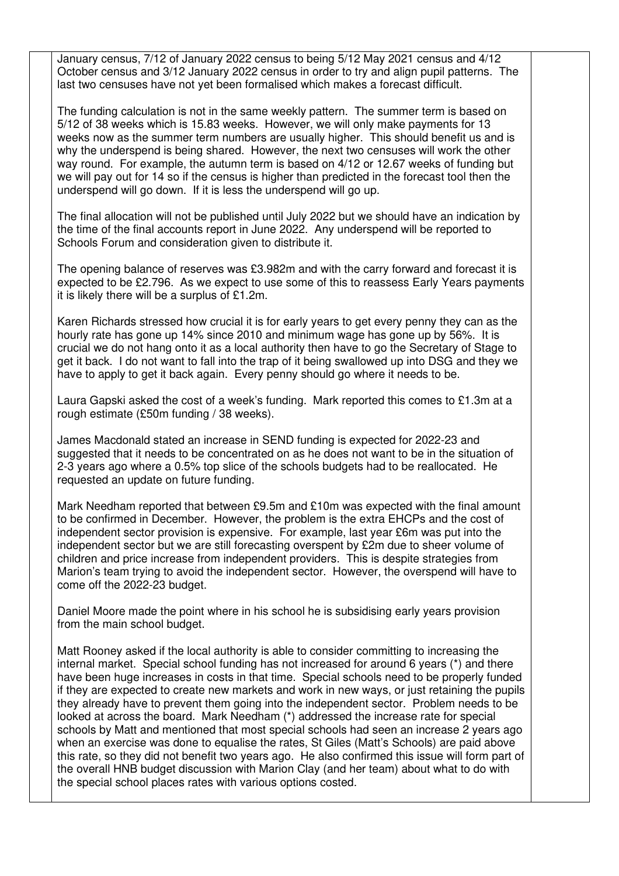January census, 7/12 of January 2022 census to being 5/12 May 2021 census and 4/12 October census and 3/12 January 2022 census in order to try and align pupil patterns. The last two censuses have not yet been formalised which makes a forecast difficult.

The funding calculation is not in the same weekly pattern. The summer term is based on 5/12 of 38 weeks which is 15.83 weeks. However, we will only make payments for 13 weeks now as the summer term numbers are usually higher. This should benefit us and is why the underspend is being shared. However, the next two censuses will work the other way round. For example, the autumn term is based on 4/12 or 12.67 weeks of funding but we will pay out for 14 so if the census is higher than predicted in the forecast tool then the underspend will go down. If it is less the underspend will go up.

The final allocation will not be published until July 2022 but we should have an indication by the time of the final accounts report in June 2022. Any underspend will be reported to Schools Forum and consideration given to distribute it.

The opening balance of reserves was £3.982m and with the carry forward and forecast it is expected to be £2.796. As we expect to use some of this to reassess Early Years payments it is likely there will be a surplus of £1.2m.

Karen Richards stressed how crucial it is for early years to get every penny they can as the hourly rate has gone up 14% since 2010 and minimum wage has gone up by 56%. It is crucial we do not hang onto it as a local authority then have to go the Secretary of Stage to get it back. I do not want to fall into the trap of it being swallowed up into DSG and they we have to apply to get it back again. Every penny should go where it needs to be.

Laura Gapski asked the cost of a week's funding. Mark reported this comes to £1.3m at a rough estimate (£50m funding / 38 weeks).

James Macdonald stated an increase in SEND funding is expected for 2022-23 and suggested that it needs to be concentrated on as he does not want to be in the situation of 2-3 years ago where a 0.5% top slice of the schools budgets had to be reallocated. He requested an update on future funding.

Mark Needham reported that between £9.5m and £10m was expected with the final amount to be confirmed in December. However, the problem is the extra EHCPs and the cost of independent sector provision is expensive. For example, last year £6m was put into the independent sector but we are still forecasting overspent by £2m due to sheer volume of children and price increase from independent providers. This is despite strategies from Marion's team trying to avoid the independent sector. However, the overspend will have to come off the 2022-23 budget.

Daniel Moore made the point where in his school he is subsidising early years provision from the main school budget.

Matt Rooney asked if the local authority is able to consider committing to increasing the internal market. Special school funding has not increased for around 6 years (\*) and there have been huge increases in costs in that time. Special schools need to be properly funded if they are expected to create new markets and work in new ways, or just retaining the pupils they already have to prevent them going into the independent sector. Problem needs to be looked at across the board. Mark Needham (\*) addressed the increase rate for special schools by Matt and mentioned that most special schools had seen an increase 2 years ago when an exercise was done to equalise the rates, St Giles (Matt's Schools) are paid above this rate, so they did not benefit two years ago. He also confirmed this issue will form part of the overall HNB budget discussion with Marion Clay (and her team) about what to do with the special school places rates with various options costed.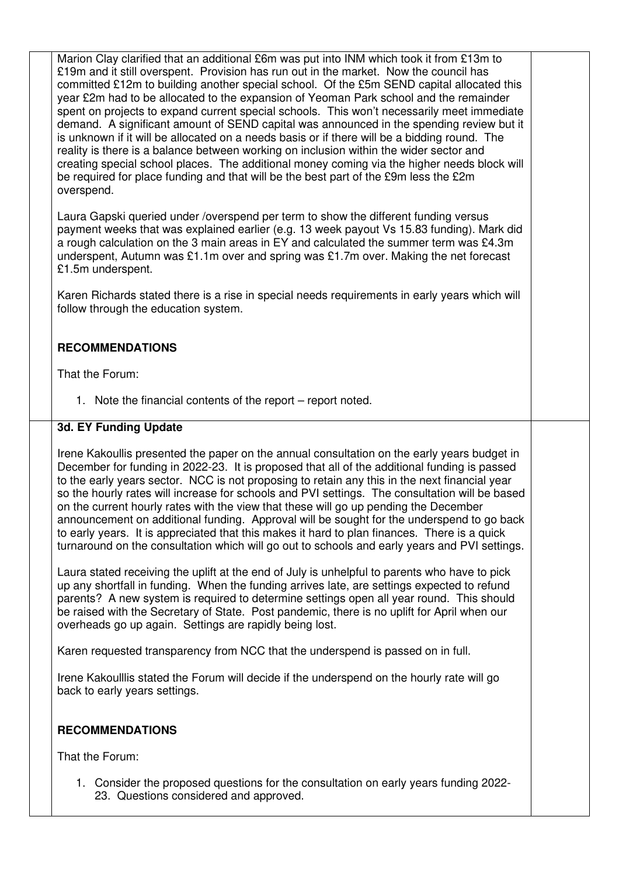Marion Clay clarified that an additional £6m was put into INM which took it from £13m to £19m and it still overspent. Provision has run out in the market. Now the council has committed £12m to building another special school. Of the £5m SEND capital allocated this year £2m had to be allocated to the expansion of Yeoman Park school and the remainder spent on projects to expand current special schools. This won't necessarily meet immediate demand. A significant amount of SEND capital was announced in the spending review but it is unknown if it will be allocated on a needs basis or if there will be a bidding round. The reality is there is a balance between working on inclusion within the wider sector and creating special school places. The additional money coming via the higher needs block will be required for place funding and that will be the best part of the £9m less the £2m overspend.

Laura Gapski queried under /overspend per term to show the different funding versus payment weeks that was explained earlier (e.g. 13 week payout Vs 15.83 funding). Mark did a rough calculation on the 3 main areas in EY and calculated the summer term was £4.3m underspent, Autumn was £1.1m over and spring was £1.7m over. Making the net forecast £1.5m underspent.

Karen Richards stated there is a rise in special needs requirements in early years which will follow through the education system.

#### **RECOMMENDATIONS**

That the Forum:

1. Note the financial contents of the report – report noted.

#### **3d. EY Funding Update**

Irene Kakoullis presented the paper on the annual consultation on the early years budget in December for funding in 2022-23. It is proposed that all of the additional funding is passed to the early years sector. NCC is not proposing to retain any this in the next financial year so the hourly rates will increase for schools and PVI settings. The consultation will be based on the current hourly rates with the view that these will go up pending the December announcement on additional funding. Approval will be sought for the underspend to go back to early years. It is appreciated that this makes it hard to plan finances. There is a quick turnaround on the consultation which will go out to schools and early years and PVI settings.

Laura stated receiving the uplift at the end of July is unhelpful to parents who have to pick up any shortfall in funding. When the funding arrives late, are settings expected to refund parents? A new system is required to determine settings open all year round. This should be raised with the Secretary of State. Post pandemic, there is no uplift for April when our overheads go up again. Settings are rapidly being lost.

Karen requested transparency from NCC that the underspend is passed on in full.

Irene Kakoulllis stated the Forum will decide if the underspend on the hourly rate will go back to early years settings.

#### **RECOMMENDATIONS**

That the Forum:

1. Consider the proposed questions for the consultation on early years funding 2022- 23. Questions considered and approved.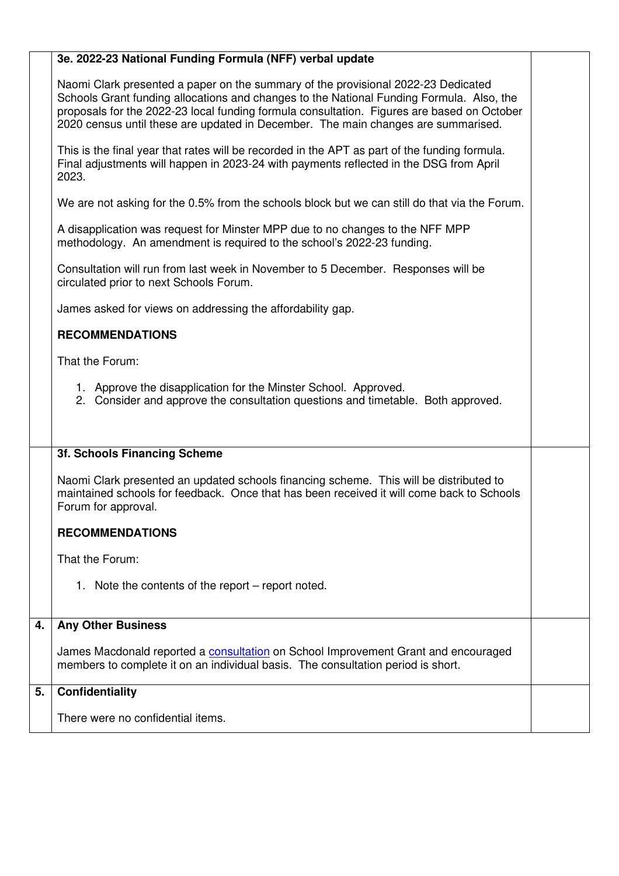|    | 3e. 2022-23 National Funding Formula (NFF) verbal update                                                                                                                                                                                                                                                                                                         |  |
|----|------------------------------------------------------------------------------------------------------------------------------------------------------------------------------------------------------------------------------------------------------------------------------------------------------------------------------------------------------------------|--|
|    | Naomi Clark presented a paper on the summary of the provisional 2022-23 Dedicated<br>Schools Grant funding allocations and changes to the National Funding Formula. Also, the<br>proposals for the 2022-23 local funding formula consultation. Figures are based on October<br>2020 census until these are updated in December. The main changes are summarised. |  |
|    | This is the final year that rates will be recorded in the APT as part of the funding formula.<br>Final adjustments will happen in 2023-24 with payments reflected in the DSG from April<br>2023.                                                                                                                                                                 |  |
|    | We are not asking for the 0.5% from the schools block but we can still do that via the Forum.                                                                                                                                                                                                                                                                    |  |
|    | A disapplication was request for Minster MPP due to no changes to the NFF MPP<br>methodology. An amendment is required to the school's 2022-23 funding.                                                                                                                                                                                                          |  |
|    | Consultation will run from last week in November to 5 December. Responses will be<br>circulated prior to next Schools Forum.                                                                                                                                                                                                                                     |  |
|    | James asked for views on addressing the affordability gap.                                                                                                                                                                                                                                                                                                       |  |
|    | <b>RECOMMENDATIONS</b>                                                                                                                                                                                                                                                                                                                                           |  |
|    | That the Forum:                                                                                                                                                                                                                                                                                                                                                  |  |
|    | 1. Approve the disapplication for the Minster School. Approved.<br>2. Consider and approve the consultation questions and timetable. Both approved.                                                                                                                                                                                                              |  |
|    | 3f. Schools Financing Scheme                                                                                                                                                                                                                                                                                                                                     |  |
|    | Naomi Clark presented an updated schools financing scheme. This will be distributed to<br>maintained schools for feedback. Once that has been received it will come back to Schools<br>Forum for approval.                                                                                                                                                       |  |
|    | <b>RECOMMENDATIONS</b>                                                                                                                                                                                                                                                                                                                                           |  |
|    | That the Forum:                                                                                                                                                                                                                                                                                                                                                  |  |
|    | 1. Note the contents of the report – report noted.                                                                                                                                                                                                                                                                                                               |  |
| 4. | <b>Any Other Business</b>                                                                                                                                                                                                                                                                                                                                        |  |
|    | James Macdonald reported a <b>consultation</b> on School Improvement Grant and encouraged<br>members to complete it on an individual basis. The consultation period is short.                                                                                                                                                                                    |  |
| 5. | <b>Confidentiality</b>                                                                                                                                                                                                                                                                                                                                           |  |
|    | There were no confidential items.                                                                                                                                                                                                                                                                                                                                |  |